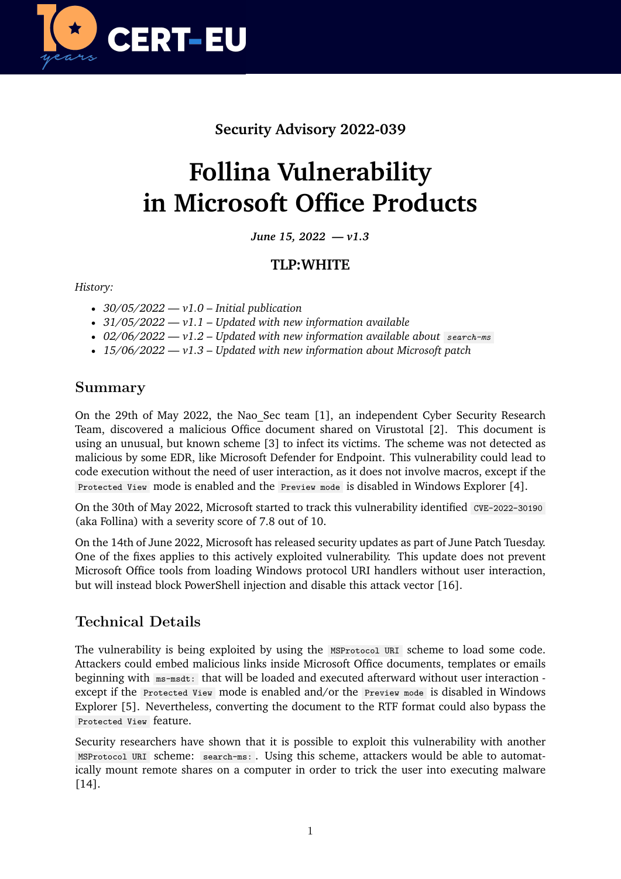

# **Security Advisory 2022-039**

# **Follina Vulnerability in Microsoft Office Products**

*June 15, 2022 — v1.3*

## **TLP:WHITE**

*History:*

- *30/05/2022 v1.0 Initial publication*
- *31/05/2022 v1.1 Updated with new information available*
- *02/06/2022 v1.2 Updated with new information available about search-ms*
- *15/06/2022 v1.3 Updated with new information about Microsoft patch*

### **Summary**

On the 29th of May 2022, the Nao Sec team [1], an independent Cyber Security Research Team, discovered a malicious Office document shared on Virustotal [2]. This document is using an unusual, but known scheme [3] to infect its victims. The scheme was not detected as malicious by some EDR, like Microsoft Defender for Endpoint. This vulnerability could lead to code execution without the need of user interaction, as it does not involve macros, except if the Protected View mode is enabled and the Preview mode is disabled in Windows Explorer [4].

On the 30th of May 2022, Microsoft started to track this vulnerability identified CVE-2022-30190 (aka Follina) with a severity score of 7.8 out of 10.

On the 14th of June 2022, Microsoft has released security updates as part of June Patch Tuesday. One of the fixes applies to this actively exploited vulnerability. This update does not prevent Microsoft Office tools from loading Windows protocol URI handlers without user interaction, but will instead block PowerShell injection and disable this attack vector [16].

# **Technical Details**

The vulnerability is being exploited by using the MSProtocol URI scheme to load some code. Attackers could embed malicious links inside Microsoft Office documents, templates or emails beginning with ms-msdt: that will be loaded and executed afterward without user interaction except if the Protected View mode is enabled and/or the Preview mode is disabled in Windows Explorer [5]. Nevertheless, converting the document to the RTF format could also bypass the Protected View feature.

Security researchers have shown that it is possible to exploit this vulnerability with another MSProtocol URI scheme: search-ms: . Using this scheme, attackers would be able to automatically mount remote shares on a computer in order to trick the user into executing malware [14].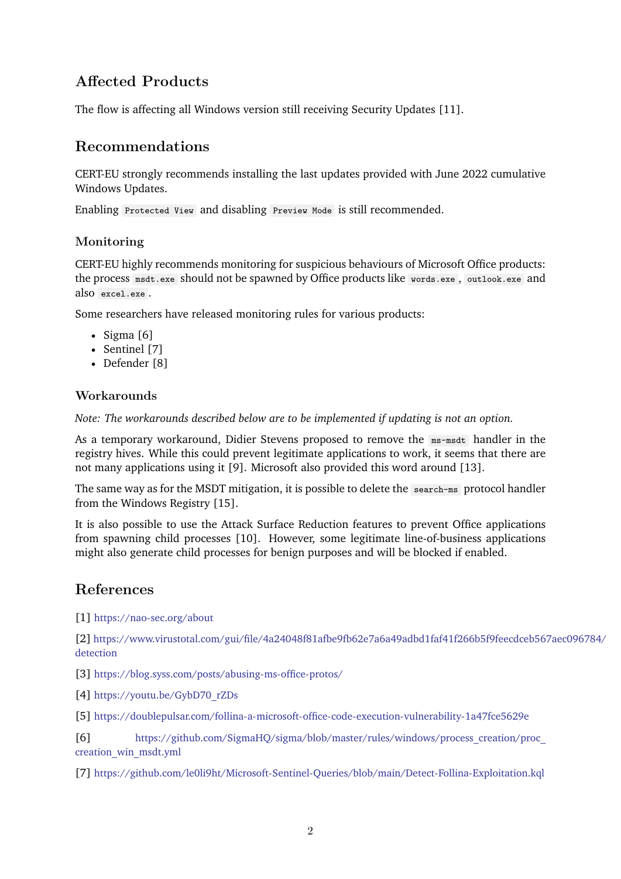# **Affected Products**

The flow is affecting all Windows version still receiving Security Updates [11].

### **Recommendations**

CERT-EU strongly recommends installing the last updates provided with June 2022 cumulative Windows Updates.

Enabling Protected View and disabling Preview Mode is still recommended.

#### **Monitoring**

CERT-EU highly recommends monitoring for suspicious behaviours of Microsoft Office products: the process msdt.exe should not be spawned by Office products like words.exe , outlook.exe and also excel.exe .

Some researchers have released monitoring rules for various products:

- Sigma [6]
- Sentinel [7]
- Defender [8]

#### **Workarounds**

*Note: The workarounds described below are to be implemented if updating is not an option.*

As a temporary workaround, Didier Stevens proposed to remove the ms-msdt handler in the registry hives. While this could prevent legitimate applications to work, it seems that there are not many applications using it [9]. Microsoft also provided this word around [13].

The same way as for the MSDT mitigation, it is possible to delete the search-ms protocol handler from the Windows Registry [15].

It is also possible to use the Attack Surface Reduction features to prevent Office applications from spawning child processes [10]. However, some legitimate line-of-business applications might also generate child processes for benign purposes and will be blocked if enabled.

#### **References**

[1] <https://nao-sec.org/about>

[2] [https://www.virustotal.com/gui/file/4a24048f81afbe9fb62e7a6a49adbd1faf41f266b5f9feecdceb567](https://www.virustotal.com/gui/file/4a24048f81afbe9fb62e7a6a49adbd1faf41f266b5f9feecdceb567aec096784/detection)aec096784/ [detection](https://www.virustotal.com/gui/file/4a24048f81afbe9fb62e7a6a49adbd1faf41f266b5f9feecdceb567aec096784/detection)

[3] <https://blog.syss.com/posts/abusing-ms-office-protos/>

[4] [https://youtu.be/GybD70\\_rZDs](https://youtu.be/GybD70_rZDs)

[5] <https://doublepulsar.com/follina-a-microsoft-office-code-execution-vulnerability-1a47fce5629e>

[6] [https://github.com/SigmaHQ/sigma/blob/master/rules/windows/process\\_creation/proc\\_](https://github.com/SigmaHQ/sigma/blob/master/rules/windows/process_creation/proc_creation_win_msdt.yml) [creation\\_win\\_msdt.yml](https://github.com/SigmaHQ/sigma/blob/master/rules/windows/process_creation/proc_creation_win_msdt.yml)

[7] <https://github.com/le0li9ht/Microsoft-Sentinel-Queries/blob/main/Detect-Follina-Exploitation.kql>